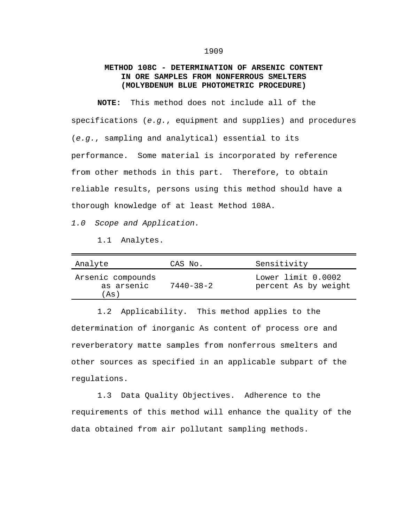## **METHOD 108C - DETERMINATION OF ARSENIC CONTENT IN ORE SAMPLES FROM NONFERROUS SMELTERS (MOLYBDENUM BLUE PHOTOMETRIC PROCEDURE)**

**NOTE:** This method does not include all of the specifications (*e.g.*, equipment and supplies) and procedures (*e.g.*, sampling and analytical) essential to its performance. Some material is incorporated by reference from other methods in this part. Therefore, to obtain reliable results, persons using this method should have a thorough knowledge of at least Method 108A.

*1.0 Scope and Application.*

1.1 Analytes.

| Analyte                                 | CAS No.         | Sensitivity                                |
|-----------------------------------------|-----------------|--------------------------------------------|
| Arsenic compounds<br>as arsenic<br>(As) | $7440 - 38 - 2$ | Lower limit 0.0002<br>percent As by weight |

1.2 Applicability. This method applies to the determination of inorganic As content of process ore and reverberatory matte samples from nonferrous smelters and other sources as specified in an applicable subpart of the regulations.

1.3 Data Quality Objectives. Adherence to the requirements of this method will enhance the quality of the data obtained from air pollutant sampling methods.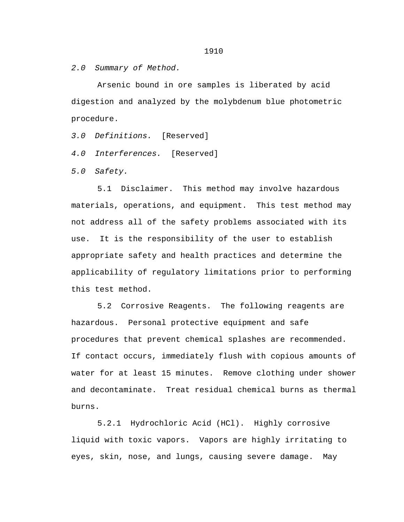*2.0 Summary of Method.*

Arsenic bound in ore samples is liberated by acid digestion and analyzed by the molybdenum blue photometric procedure.

*3.0 Definitions.* [Reserved]

*4.0 Interferences.* [Reserved]

*5.0 Safety.*

5.1 Disclaimer. This method may involve hazardous materials, operations, and equipment. This test method may not address all of the safety problems associated with its use. It is the responsibility of the user to establish appropriate safety and health practices and determine the applicability of regulatory limitations prior to performing this test method.

5.2 Corrosive Reagents. The following reagents are hazardous. Personal protective equipment and safe procedures that prevent chemical splashes are recommended. If contact occurs, immediately flush with copious amounts of water for at least 15 minutes. Remove clothing under shower and decontaminate. Treat residual chemical burns as thermal burns.

5.2.1 Hydrochloric Acid (HCl). Highly corrosive liquid with toxic vapors. Vapors are highly irritating to eyes, skin, nose, and lungs, causing severe damage. May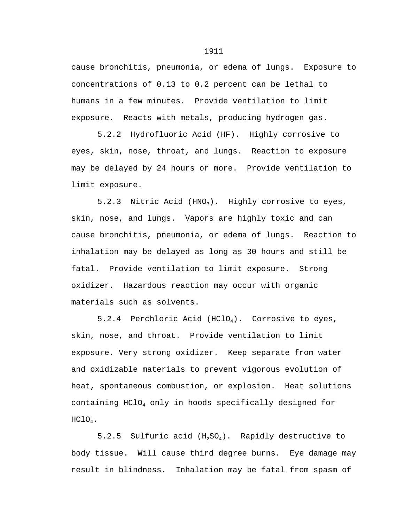cause bronchitis, pneumonia, or edema of lungs. Exposure to concentrations of 0.13 to 0.2 percent can be lethal to humans in a few minutes. Provide ventilation to limit exposure. Reacts with metals, producing hydrogen gas.

5.2.2 Hydrofluoric Acid (HF). Highly corrosive to eyes, skin, nose, throat, and lungs. Reaction to exposure may be delayed by 24 hours or more. Provide ventilation to limit exposure.

5.2.3 Nitric Acid (HNO<sub>3</sub>). Highly corrosive to eyes, skin, nose, and lungs. Vapors are highly toxic and can cause bronchitis, pneumonia, or edema of lungs. Reaction to inhalation may be delayed as long as 30 hours and still be fatal. Provide ventilation to limit exposure. Strong oxidizer. Hazardous reaction may occur with organic materials such as solvents.

5.2.4 Perchloric Acid (HClO<sub>4</sub>). Corrosive to eyes, skin, nose, and throat. Provide ventilation to limit exposure. Very strong oxidizer. Keep separate from water and oxidizable materials to prevent vigorous evolution of heat, spontaneous combustion, or explosion. Heat solutions containing HClO4 only in hoods specifically designed for HClO4.

5.2.5 Sulfuric acid  $(H_2SO_4)$ . Rapidly destructive to body tissue. Will cause third degree burns. Eye damage may result in blindness. Inhalation may be fatal from spasm of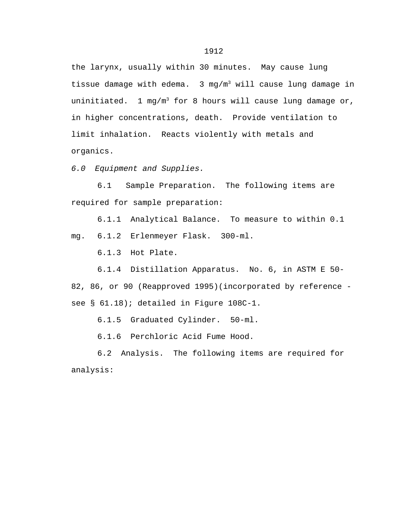the larynx, usually within 30 minutes. May cause lung tissue damage with edema.  $3 \text{ mg/m}^3$  will cause lung damage in uninitiated. 1 mg/m<sup>3</sup> for 8 hours will cause lung damage or, in higher concentrations, death. Provide ventilation to limit inhalation. Reacts violently with metals and organics.

*6.0 Equipment and Supplies.*

6.1 Sample Preparation. The following items are required for sample preparation:

6.1.1 Analytical Balance. To measure to within 0.1

mg. 6.1.2 Erlenmeyer Flask. 300-ml.

6.1.3 Hot Plate.

6.1.4 Distillation Apparatus. No. 6, in ASTM E 50- 82, 86, or 90 (Reapproved 1995)(incorporated by reference see § 61.18); detailed in Figure 108C-1.

6.1.5 Graduated Cylinder. 50-ml.

6.1.6 Perchloric Acid Fume Hood.

6.2 Analysis. The following items are required for analysis: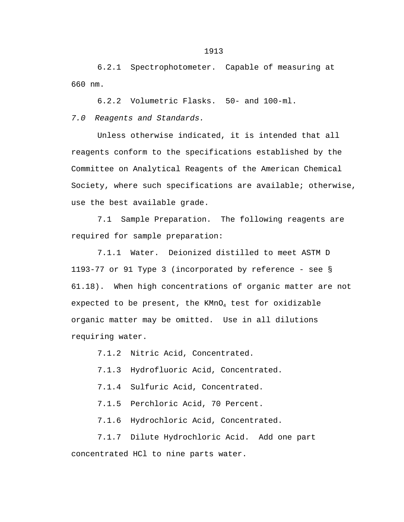6.2.1 Spectrophotometer. Capable of measuring at 660 nm.

6.2.2 Volumetric Flasks. 50- and 100-ml.

*7.0 Reagents and Standards.*

Unless otherwise indicated, it is intended that all reagents conform to the specifications established by the Committee on Analytical Reagents of the American Chemical Society, where such specifications are available; otherwise, use the best available grade.

7.1 Sample Preparation. The following reagents are required for sample preparation:

7.1.1 Water. Deionized distilled to meet ASTM D 1193-77 or 91 Type 3 (incorporated by reference - see § 61.18). When high concentrations of organic matter are not expected to be present, the  $KMD_4$  test for oxidizable organic matter may be omitted. Use in all dilutions requiring water.

7.1.2 Nitric Acid, Concentrated.

7.1.3 Hydrofluoric Acid, Concentrated.

7.1.4 Sulfuric Acid, Concentrated.

7.1.5 Perchloric Acid, 70 Percent.

7.1.6 Hydrochloric Acid, Concentrated.

7.1.7 Dilute Hydrochloric Acid. Add one part concentrated HCl to nine parts water.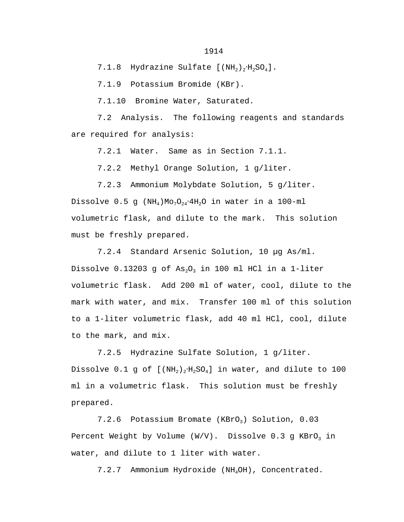7.1.8 Hydrazine Sulfate  $[MH_2, H_2SO_4]$ .

7.1.9 Potassium Bromide (KBr).

7.1.10 Bromine Water, Saturated.

7.2 Analysis. The following reagents and standards are required for analysis:

7.2.1 Water. Same as in Section 7.1.1.

7.2.2 Methyl Orange Solution, 1 g/liter.

7.2.3 Ammonium Molybdate Solution, 5 g/liter. Dissolve  $0.5$  g (NH<sub>4</sub>)Mo<sub>7</sub>O<sub>24</sub>.4H<sub>2</sub>O in water in a 100-ml volumetric flask, and dilute to the mark. This solution must be freshly prepared.

7.2.4 Standard Arsenic Solution, 10 µg As/ml. Dissolve 0.13203 g of  $As_2O_3$  in 100 ml HCl in a 1-liter volumetric flask. Add 200 ml of water, cool, dilute to the mark with water, and mix. Transfer 100 ml of this solution to a 1-liter volumetric flask, add 40 ml HCl, cool, dilute to the mark, and mix.

7.2.5 Hydrazine Sulfate Solution, 1 g/liter. Dissolve  $0.1$  g of  $[ (NH<sub>2</sub>)<sub>2</sub>·H<sub>2</sub>SO<sub>4</sub> ]$  in water, and dilute to 100 ml in a volumetric flask. This solution must be freshly prepared.

7.2.6 Potassium Bromate (KBrO<sub>3</sub>) Solution, 0.03 Percent Weight by Volume (W/V). Dissolve 0.3 g  $KBrO<sub>3</sub>$  in water, and dilute to 1 liter with water.

7.2.7 Ammonium Hydroxide (NH4OH), Concentrated.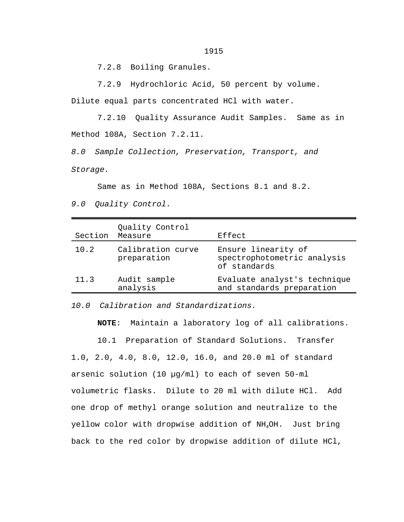7.2.8 Boiling Granules.

7.2.9 Hydrochloric Acid, 50 percent by volume.

Dilute equal parts concentrated HCl with water.

7.2.10 Quality Assurance Audit Samples. Same as in Method 108A, Section 7.2.11.

*8.0 Sample Collection, Preservation, Transport, and Storage.*

Same as in Method 108A, Sections 8.1 and 8.2. *9.0 Quality Control.*

| Section | Quality Control<br>Measure       | Effect                                                             |
|---------|----------------------------------|--------------------------------------------------------------------|
| 10.2    | Calibration curve<br>preparation | Ensure linearity of<br>spectrophotometric analysis<br>of standards |
| 11.3    | Audit sample<br>analysis         | Evaluate analyst's technique<br>and standards preparation          |

*10.0 Calibration and Standardizations.*

**NOTE**: Maintain a laboratory log of all calibrations.

10.1 Preparation of Standard Solutions. Transfer 1.0, 2.0, 4.0, 8.0, 12.0, 16.0, and 20.0 ml of standard arsenic solution (10 µg/ml) to each of seven 50-ml volumetric flasks. Dilute to 20 ml with dilute HCl. Add one drop of methyl orange solution and neutralize to the yellow color with dropwise addition of NH<sub>4</sub>OH. Just bring back to the red color by dropwise addition of dilute HCl,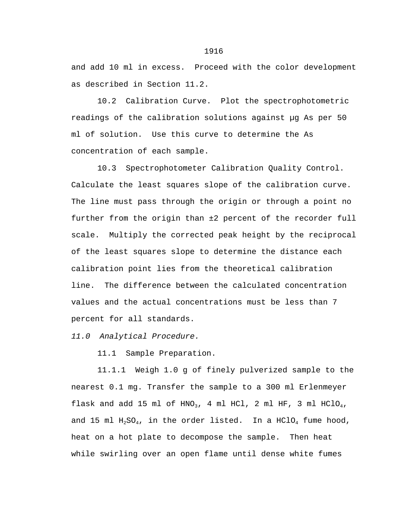and add 10 ml in excess. Proceed with the color development as described in Section 11.2.

10.2 Calibration Curve. Plot the spectrophotometric readings of the calibration solutions against µg As per 50 ml of solution. Use this curve to determine the As concentration of each sample.

10.3 Spectrophotometer Calibration Quality Control. Calculate the least squares slope of the calibration curve. The line must pass through the origin or through a point no further from the origin than ±2 percent of the recorder full scale. Multiply the corrected peak height by the reciprocal of the least squares slope to determine the distance each calibration point lies from the theoretical calibration line. The difference between the calculated concentration values and the actual concentrations must be less than 7 percent for all standards.

*11.0 Analytical Procedure.*

11.1 Sample Preparation.

11.1.1 Weigh 1.0 g of finely pulverized sample to the nearest 0.1 mg. Transfer the sample to a 300 ml Erlenmeyer flask and add 15 ml of HNO<sub>3</sub>, 4 ml HCl, 2 ml HF, 3 ml HClO<sub>4</sub>, and 15 ml  $H_2SO_4$ , in the order listed. In a HClO<sub>4</sub> fume hood, heat on a hot plate to decompose the sample. Then heat while swirling over an open flame until dense white fumes

1916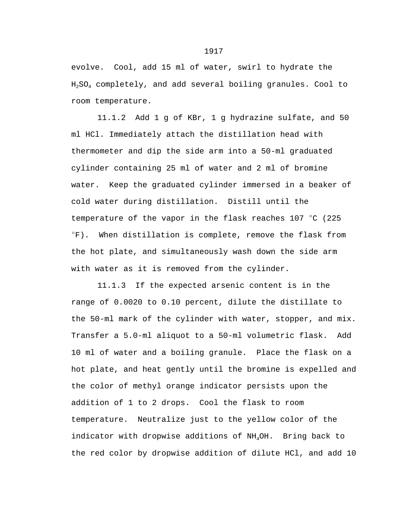evolve. Cool, add 15 ml of water, swirl to hydrate the H2SO4 completely, and add several boiling granules. Cool to room temperature.

11.1.2 Add 1 g of KBr, 1 g hydrazine sulfate, and 50 ml HCl. Immediately attach the distillation head with thermometer and dip the side arm into a 50-ml graduated cylinder containing 25 ml of water and 2 ml of bromine water. Keep the graduated cylinder immersed in a beaker of cold water during distillation. Distill until the temperature of the vapor in the flask reaches  $107 \text{ °C}$  (225  $\mathrm{F}$ ). When distillation is complete, remove the flask from the hot plate, and simultaneously wash down the side arm with water as it is removed from the cylinder.

11.1.3 If the expected arsenic content is in the range of 0.0020 to 0.10 percent, dilute the distillate to the 50-ml mark of the cylinder with water, stopper, and mix. Transfer a 5.0-ml aliquot to a 50-ml volumetric flask. Add 10 ml of water and a boiling granule. Place the flask on a hot plate, and heat gently until the bromine is expelled and the color of methyl orange indicator persists upon the addition of 1 to 2 drops. Cool the flask to room temperature. Neutralize just to the yellow color of the indicator with dropwise additions of NH4OH. Bring back to the red color by dropwise addition of dilute HCl, and add 10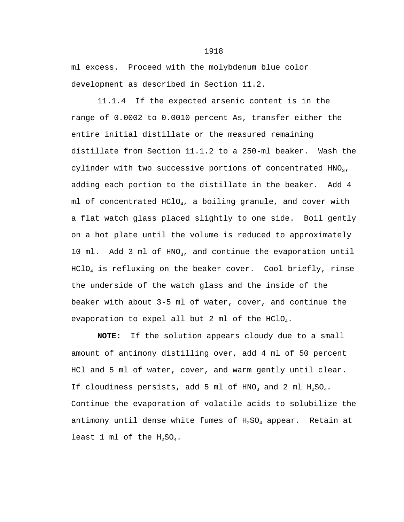ml excess. Proceed with the molybdenum blue color development as described in Section 11.2.

11.1.4 If the expected arsenic content is in the range of 0.0002 to 0.0010 percent As, transfer either the entire initial distillate or the measured remaining distillate from Section 11.1.2 to a 250-ml beaker. Wash the cylinder with two successive portions of concentrated  $HNO<sub>3</sub>$ , adding each portion to the distillate in the beaker. Add 4 ml of concentrated  $HClO<sub>4</sub>$ , a boiling granule, and cover with a flat watch glass placed slightly to one side. Boil gently on a hot plate until the volume is reduced to approximately 10 ml. Add 3 ml of  $HNO<sub>3</sub>$ , and continue the evaporation until HClO4 is refluxing on the beaker cover. Cool briefly, rinse the underside of the watch glass and the inside of the beaker with about 3-5 ml of water, cover, and continue the evaporation to expel all but 2 ml of the  $HClO<sub>4</sub>$ .

**NOTE:** If the solution appears cloudy due to a small amount of antimony distilling over, add 4 ml of 50 percent HCl and 5 ml of water, cover, and warm gently until clear. If cloudiness persists, add 5 ml of  $HNO<sub>3</sub>$  and 2 ml  $H<sub>2</sub>SO<sub>4</sub>$ . Continue the evaporation of volatile acids to solubilize the antimony until dense white fumes of  $H_2SO_4$  appear. Retain at least 1 ml of the  $H_2SO_4$ .

## 1918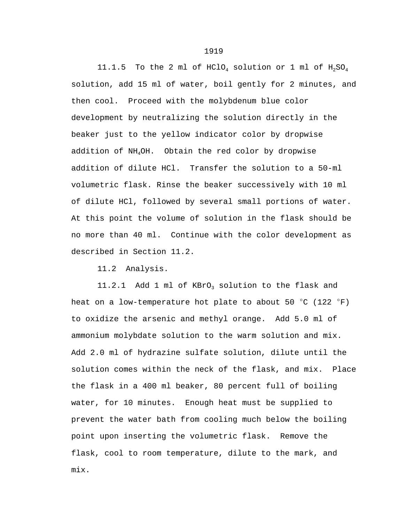11.1.5 To the 2 ml of HClO<sub>4</sub> solution or 1 ml of  $H_2SO_4$ solution, add 15 ml of water, boil gently for 2 minutes, and then cool. Proceed with the molybdenum blue color development by neutralizing the solution directly in the beaker just to the yellow indicator color by dropwise addition of NH4OH. Obtain the red color by dropwise addition of dilute HCl. Transfer the solution to a 50-ml volumetric flask. Rinse the beaker successively with 10 ml of dilute HCl, followed by several small portions of water. At this point the volume of solution in the flask should be no more than 40 ml. Continue with the color development as described in Section 11.2.

11.2 Analysis.

11.2.1 Add 1 ml of KBrO<sub>3</sub> solution to the flask and heat on a low-temperature hot plate to about 50  $^{\circ}$ C (122  $^{\circ}$ F) to oxidize the arsenic and methyl orange. Add 5.0 ml of ammonium molybdate solution to the warm solution and mix. Add 2.0 ml of hydrazine sulfate solution, dilute until the solution comes within the neck of the flask, and mix. Place the flask in a 400 ml beaker, 80 percent full of boiling water, for 10 minutes. Enough heat must be supplied to prevent the water bath from cooling much below the boiling point upon inserting the volumetric flask. Remove the flask, cool to room temperature, dilute to the mark, and mix.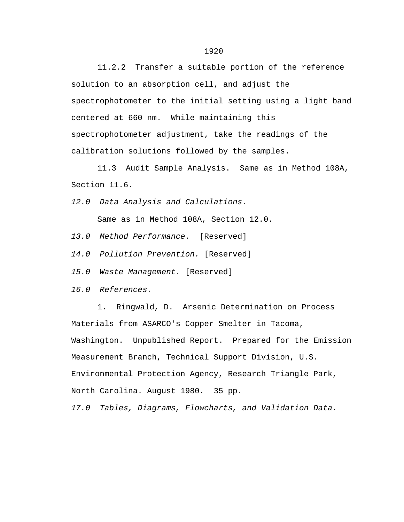11.2.2 Transfer a suitable portion of the reference solution to an absorption cell, and adjust the spectrophotometer to the initial setting using a light band centered at 660 nm. While maintaining this spectrophotometer adjustment, take the readings of the calibration solutions followed by the samples.

11.3 Audit Sample Analysis. Same as in Method 108A, Section 11.6.

*12.0 Data Analysis and Calculations.* 

Same as in Method 108A, Section 12.0.

*13.0 Method Performance.* [Reserved]

*14.0 Pollution Prevention.* [Reserved]

*15.0 Waste Management.* [Reserved]

*16.0 References.*

1. Ringwald, D. Arsenic Determination on Process Materials from ASARCO's Copper Smelter in Tacoma, Washington. Unpublished Report. Prepared for the Emission Measurement Branch, Technical Support Division, U.S. Environmental Protection Agency, Research Triangle Park, North Carolina. August 1980. 35 pp.

*17.0 Tables, Diagrams, Flowcharts, and Validation Data.*